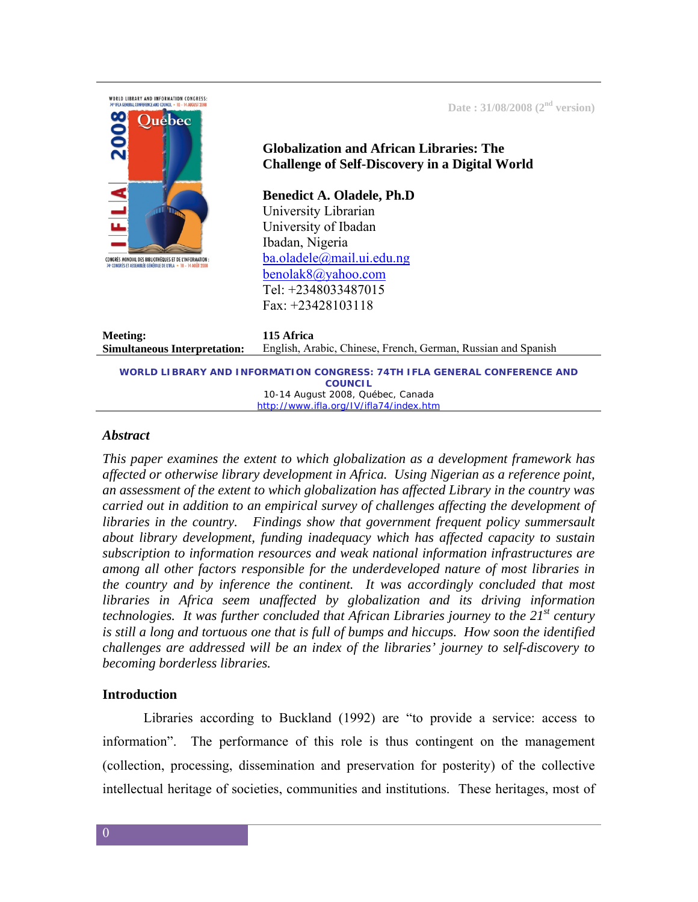

### *Abstract*

*This paper examines the extent to which globalization as a development framework has affected or otherwise library development in Africa. Using Nigerian as a reference point, an assessment of the extent to which globalization has affected Library in the country was carried out in addition to an empirical survey of challenges affecting the development of libraries in the country. Findings show that government frequent policy summersault about library development, funding inadequacy which has affected capacity to sustain subscription to information resources and weak national information infrastructures are among all other factors responsible for the underdeveloped nature of most libraries in the country and by inference the continent. It was accordingly concluded that most libraries in Africa seem unaffected by globalization and its driving information technologies. It was further concluded that African Libraries journey to the 21<sup>st</sup> century is still a long and tortuous one that is full of bumps and hiccups. How soon the identified challenges are addressed will be an index of the libraries' journey to self-discovery to becoming borderless libraries.* 

### **Introduction**

Libraries according to Buckland (1992) are "to provide a service: access to information". The performance of this role is thus contingent on the management (collection, processing, dissemination and preservation for posterity) of the collective intellectual heritage of societies, communities and institutions. These heritages, most of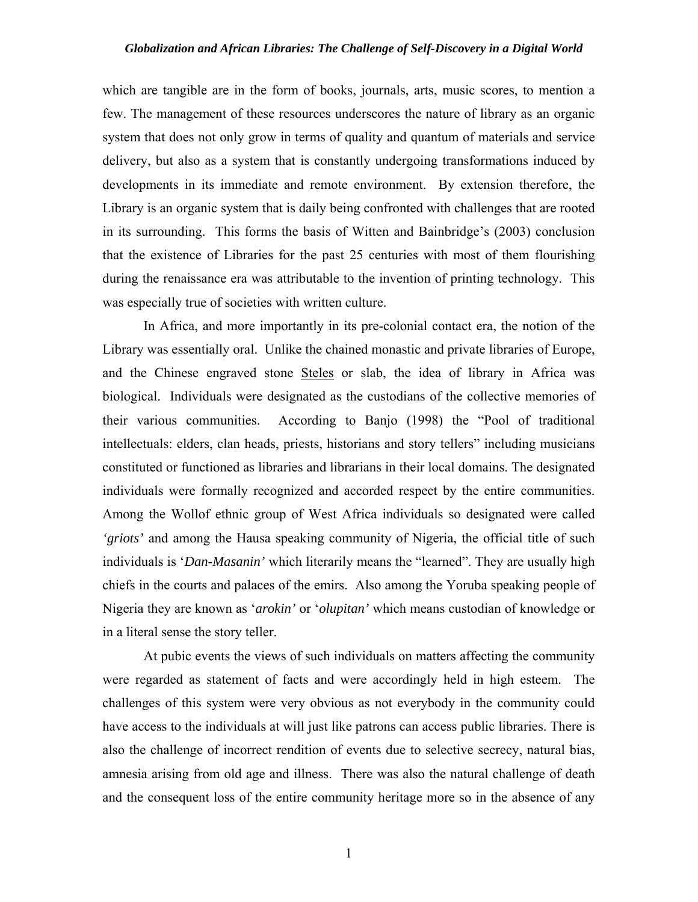which are tangible are in the form of books, journals, arts, music scores, to mention a few. The management of these resources underscores the nature of library as an organic system that does not only grow in terms of quality and quantum of materials and service delivery, but also as a system that is constantly undergoing transformations induced by developments in its immediate and remote environment. By extension therefore, the Library is an organic system that is daily being confronted with challenges that are rooted in its surrounding. This forms the basis of Witten and Bainbridge's (2003) conclusion that the existence of Libraries for the past 25 centuries with most of them flourishing during the renaissance era was attributable to the invention of printing technology. This was especially true of societies with written culture.

 In Africa, and more importantly in its pre-colonial contact era, the notion of the Library was essentially oral. Unlike the chained monastic and private libraries of Europe, and the Chinese engraved stone Steles or slab, the idea of library in Africa was biological. Individuals were designated as the custodians of the collective memories of their various communities. According to Banjo (1998) the "Pool of traditional intellectuals: elders, clan heads, priests, historians and story tellers" including musicians constituted or functioned as libraries and librarians in their local domains. The designated individuals were formally recognized and accorded respect by the entire communities. Among the Wollof ethnic group of West Africa individuals so designated were called *'griots'* and among the Hausa speaking community of Nigeria, the official title of such individuals is '*Dan-Masanin'* which literarily means the "learned". They are usually high chiefs in the courts and palaces of the emirs. Also among the Yoruba speaking people of Nigeria they are known as '*arokin'* or '*olupitan'* which means custodian of knowledge or in a literal sense the story teller.

 At pubic events the views of such individuals on matters affecting the community were regarded as statement of facts and were accordingly held in high esteem. The challenges of this system were very obvious as not everybody in the community could have access to the individuals at will just like patrons can access public libraries. There is also the challenge of incorrect rendition of events due to selective secrecy, natural bias, amnesia arising from old age and illness. There was also the natural challenge of death and the consequent loss of the entire community heritage more so in the absence of any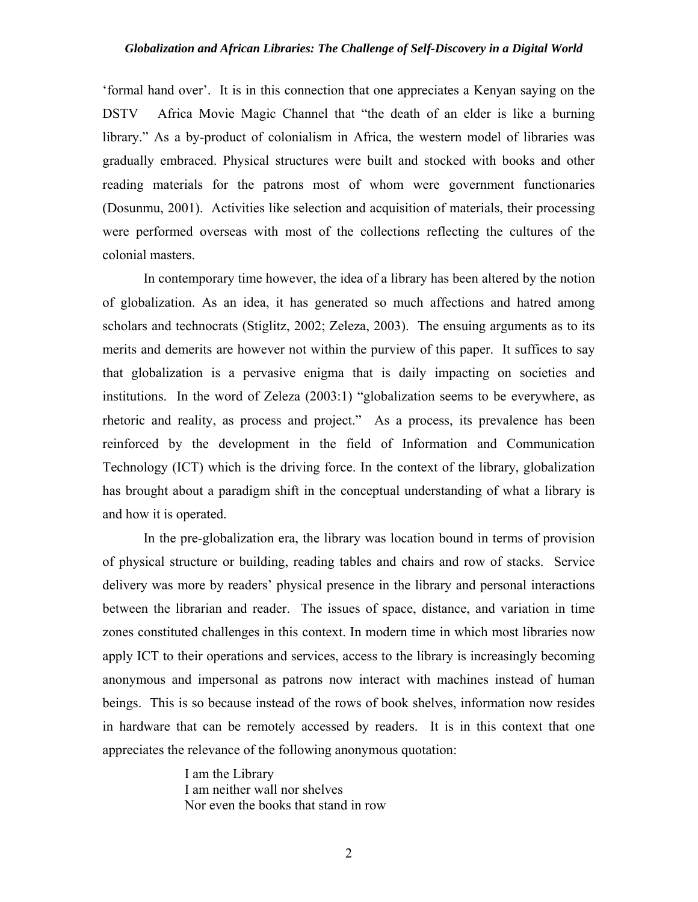'formal hand over'. It is in this connection that one appreciates a Kenyan saying on the DSTV Africa Movie Magic Channel that "the death of an elder is like a burning library." As a by-product of colonialism in Africa, the western model of libraries was gradually embraced. Physical structures were built and stocked with books and other reading materials for the patrons most of whom were government functionaries (Dosunmu, 2001). Activities like selection and acquisition of materials, their processing were performed overseas with most of the collections reflecting the cultures of the colonial masters.

In contemporary time however, the idea of a library has been altered by the notion of globalization. As an idea, it has generated so much affections and hatred among scholars and technocrats (Stiglitz, 2002; Zeleza, 2003). The ensuing arguments as to its merits and demerits are however not within the purview of this paper. It suffices to say that globalization is a pervasive enigma that is daily impacting on societies and institutions. In the word of Zeleza (2003:1) "globalization seems to be everywhere, as rhetoric and reality, as process and project." As a process, its prevalence has been reinforced by the development in the field of Information and Communication Technology (ICT) which is the driving force. In the context of the library, globalization has brought about a paradigm shift in the conceptual understanding of what a library is and how it is operated.

In the pre-globalization era, the library was location bound in terms of provision of physical structure or building, reading tables and chairs and row of stacks. Service delivery was more by readers' physical presence in the library and personal interactions between the librarian and reader. The issues of space, distance, and variation in time zones constituted challenges in this context. In modern time in which most libraries now apply ICT to their operations and services, access to the library is increasingly becoming anonymous and impersonal as patrons now interact with machines instead of human beings. This is so because instead of the rows of book shelves, information now resides in hardware that can be remotely accessed by readers. It is in this context that one appreciates the relevance of the following anonymous quotation:

> I am the Library I am neither wall nor shelves Nor even the books that stand in row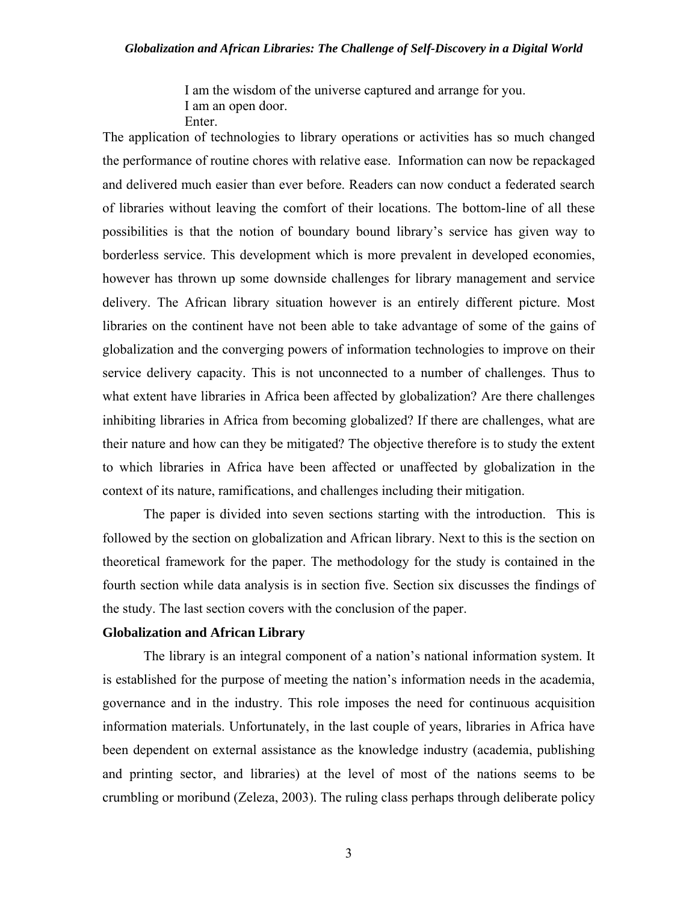I am the wisdom of the universe captured and arrange for you. I am an open door. Enter.

The application of technologies to library operations or activities has so much changed the performance of routine chores with relative ease. Information can now be repackaged and delivered much easier than ever before. Readers can now conduct a federated search of libraries without leaving the comfort of their locations. The bottom-line of all these possibilities is that the notion of boundary bound library's service has given way to borderless service. This development which is more prevalent in developed economies, however has thrown up some downside challenges for library management and service delivery. The African library situation however is an entirely different picture. Most libraries on the continent have not been able to take advantage of some of the gains of globalization and the converging powers of information technologies to improve on their service delivery capacity. This is not unconnected to a number of challenges. Thus to what extent have libraries in Africa been affected by globalization? Are there challenges inhibiting libraries in Africa from becoming globalized? If there are challenges, what are their nature and how can they be mitigated? The objective therefore is to study the extent to which libraries in Africa have been affected or unaffected by globalization in the context of its nature, ramifications, and challenges including their mitigation.

 The paper is divided into seven sections starting with the introduction. This is followed by the section on globalization and African library. Next to this is the section on theoretical framework for the paper. The methodology for the study is contained in the fourth section while data analysis is in section five. Section six discusses the findings of the study. The last section covers with the conclusion of the paper.

## **Globalization and African Library**

 The library is an integral component of a nation's national information system. It is established for the purpose of meeting the nation's information needs in the academia, governance and in the industry. This role imposes the need for continuous acquisition information materials. Unfortunately, in the last couple of years, libraries in Africa have been dependent on external assistance as the knowledge industry (academia, publishing and printing sector, and libraries) at the level of most of the nations seems to be crumbling or moribund (Zeleza, 2003). The ruling class perhaps through deliberate policy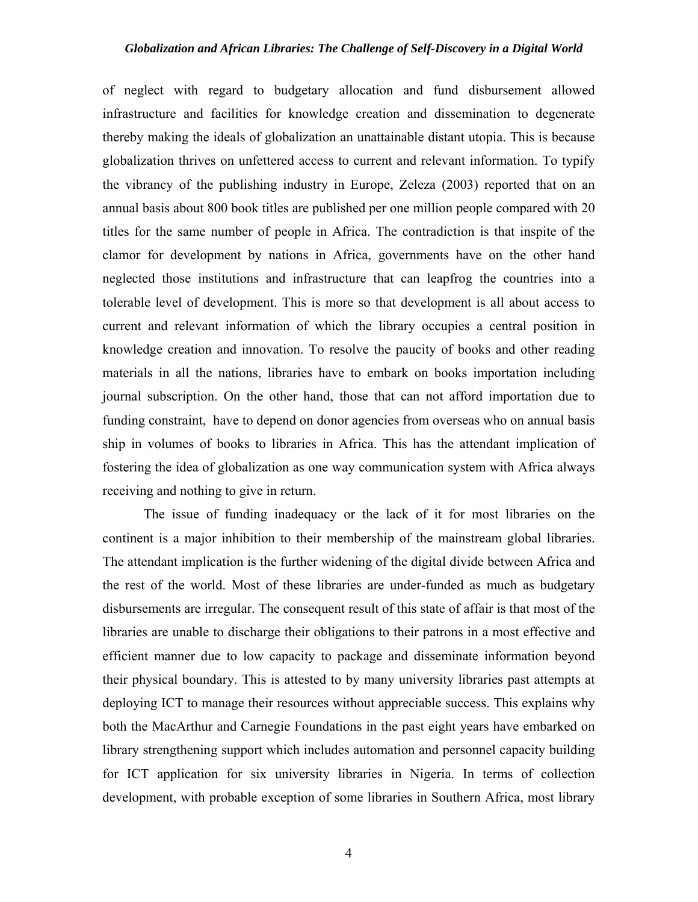of neglect with regard to budgetary allocation and fund disbursement allowed infrastructure and facilities for knowledge creation and dissemination to degenerate thereby making the ideals of globalization an unattainable distant utopia. This is because globalization thrives on unfettered access to current and relevant information. To typify the vibrancy of the publishing industry in Europe, Zeleza (2003) reported that on an annual basis about 800 book titles are published per one million people compared with 20 titles for the same number of people in Africa. The contradiction is that inspite of the clamor for development by nations in Africa, governments have on the other hand neglected those institutions and infrastructure that can leapfrog the countries into a tolerable level of development. This is more so that development is all about access to current and relevant information of which the library occupies a central position in knowledge creation and innovation. To resolve the paucity of books and other reading materials in all the nations, libraries have to embark on books importation including journal subscription. On the other hand, those that can not afford importation due to funding constraint, have to depend on donor agencies from overseas who on annual basis ship in volumes of books to libraries in Africa. This has the attendant implication of fostering the idea of globalization as one way communication system with Africa always receiving and nothing to give in return.

 The issue of funding inadequacy or the lack of it for most libraries on the continent is a major inhibition to their membership of the mainstream global libraries. The attendant implication is the further widening of the digital divide between Africa and the rest of the world. Most of these libraries are under-funded as much as budgetary disbursements are irregular. The consequent result of this state of affair is that most of the libraries are unable to discharge their obligations to their patrons in a most effective and efficient manner due to low capacity to package and disseminate information beyond their physical boundary. This is attested to by many university libraries past attempts at deploying ICT to manage their resources without appreciable success. This explains why both the MacArthur and Carnegie Foundations in the past eight years have embarked on library strengthening support which includes automation and personnel capacity building for ICT application for six university libraries in Nigeria. In terms of collection development, with probable exception of some libraries in Southern Africa, most library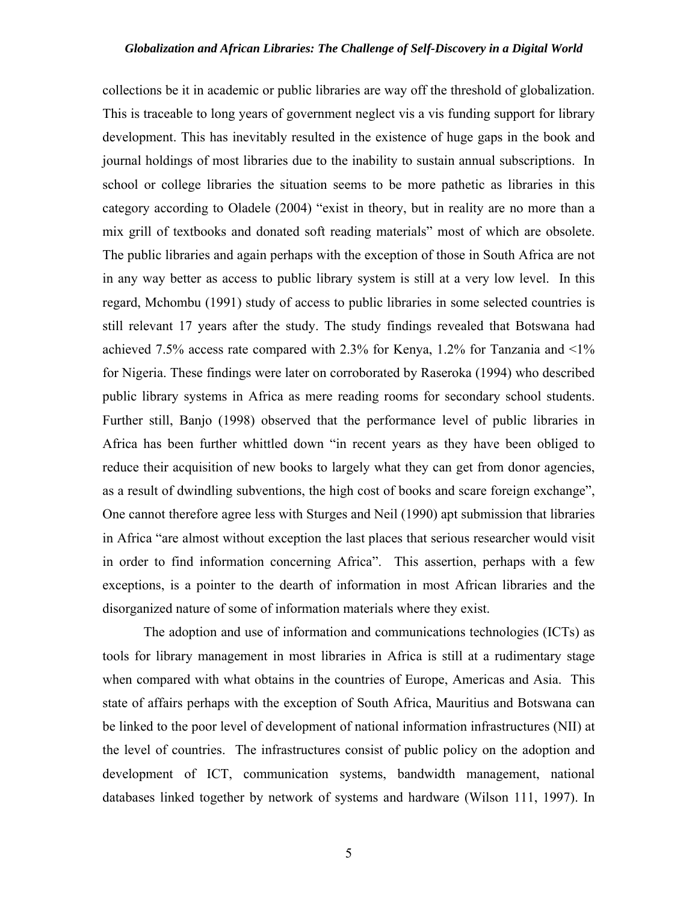collections be it in academic or public libraries are way off the threshold of globalization. This is traceable to long years of government neglect vis a vis funding support for library development. This has inevitably resulted in the existence of huge gaps in the book and journal holdings of most libraries due to the inability to sustain annual subscriptions. In school or college libraries the situation seems to be more pathetic as libraries in this category according to Oladele (2004) "exist in theory, but in reality are no more than a mix grill of textbooks and donated soft reading materials" most of which are obsolete. The public libraries and again perhaps with the exception of those in South Africa are not in any way better as access to public library system is still at a very low level. In this regard, Mchombu (1991) study of access to public libraries in some selected countries is still relevant 17 years after the study. The study findings revealed that Botswana had achieved 7.5% access rate compared with 2.3% for Kenya, 1.2% for Tanzania and <1% for Nigeria. These findings were later on corroborated by Raseroka (1994) who described public library systems in Africa as mere reading rooms for secondary school students. Further still, Banjo (1998) observed that the performance level of public libraries in Africa has been further whittled down "in recent years as they have been obliged to reduce their acquisition of new books to largely what they can get from donor agencies, as a result of dwindling subventions, the high cost of books and scare foreign exchange", One cannot therefore agree less with Sturges and Neil (1990) apt submission that libraries in Africa "are almost without exception the last places that serious researcher would visit in order to find information concerning Africa". This assertion, perhaps with a few exceptions, is a pointer to the dearth of information in most African libraries and the disorganized nature of some of information materials where they exist.

 The adoption and use of information and communications technologies (ICTs) as tools for library management in most libraries in Africa is still at a rudimentary stage when compared with what obtains in the countries of Europe, Americas and Asia. This state of affairs perhaps with the exception of South Africa, Mauritius and Botswana can be linked to the poor level of development of national information infrastructures (NII) at the level of countries. The infrastructures consist of public policy on the adoption and development of ICT, communication systems, bandwidth management, national databases linked together by network of systems and hardware (Wilson 111, 1997). In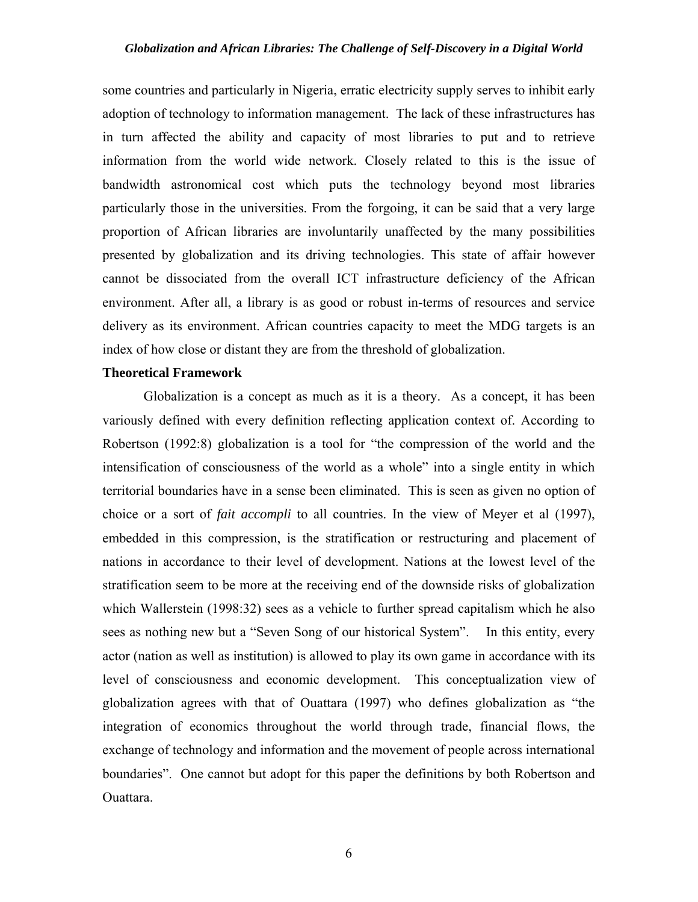some countries and particularly in Nigeria, erratic electricity supply serves to inhibit early adoption of technology to information management. The lack of these infrastructures has in turn affected the ability and capacity of most libraries to put and to retrieve information from the world wide network. Closely related to this is the issue of bandwidth astronomical cost which puts the technology beyond most libraries particularly those in the universities. From the forgoing, it can be said that a very large proportion of African libraries are involuntarily unaffected by the many possibilities presented by globalization and its driving technologies. This state of affair however cannot be dissociated from the overall ICT infrastructure deficiency of the African environment. After all, a library is as good or robust in-terms of resources and service delivery as its environment. African countries capacity to meet the MDG targets is an index of how close or distant they are from the threshold of globalization.

### **Theoretical Framework**

Globalization is a concept as much as it is a theory. As a concept, it has been variously defined with every definition reflecting application context of. According to Robertson (1992:8) globalization is a tool for "the compression of the world and the intensification of consciousness of the world as a whole" into a single entity in which territorial boundaries have in a sense been eliminated. This is seen as given no option of choice or a sort of *fait accompli* to all countries. In the view of Meyer et al (1997), embedded in this compression, is the stratification or restructuring and placement of nations in accordance to their level of development. Nations at the lowest level of the stratification seem to be more at the receiving end of the downside risks of globalization which Wallerstein (1998:32) sees as a vehicle to further spread capitalism which he also sees as nothing new but a "Seven Song of our historical System". In this entity, every actor (nation as well as institution) is allowed to play its own game in accordance with its level of consciousness and economic development. This conceptualization view of globalization agrees with that of Ouattara (1997) who defines globalization as "the integration of economics throughout the world through trade, financial flows, the exchange of technology and information and the movement of people across international boundaries". One cannot but adopt for this paper the definitions by both Robertson and Ouattara.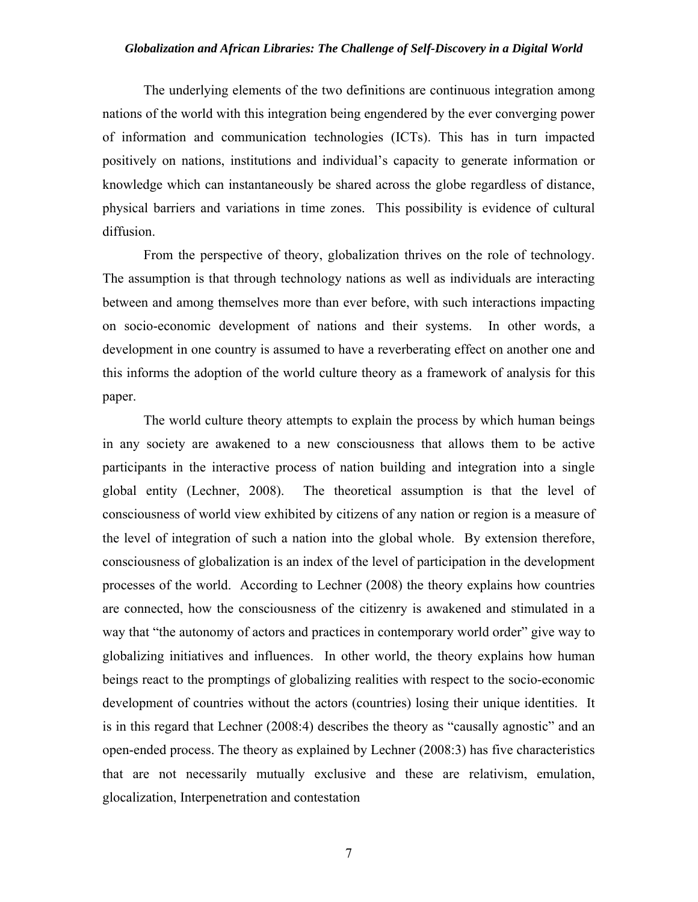The underlying elements of the two definitions are continuous integration among nations of the world with this integration being engendered by the ever converging power of information and communication technologies (ICTs). This has in turn impacted positively on nations, institutions and individual's capacity to generate information or knowledge which can instantaneously be shared across the globe regardless of distance, physical barriers and variations in time zones. This possibility is evidence of cultural diffusion.

 From the perspective of theory, globalization thrives on the role of technology. The assumption is that through technology nations as well as individuals are interacting between and among themselves more than ever before, with such interactions impacting on socio-economic development of nations and their systems. In other words, a development in one country is assumed to have a reverberating effect on another one and this informs the adoption of the world culture theory as a framework of analysis for this paper.

 The world culture theory attempts to explain the process by which human beings in any society are awakened to a new consciousness that allows them to be active participants in the interactive process of nation building and integration into a single global entity (Lechner, 2008). The theoretical assumption is that the level of consciousness of world view exhibited by citizens of any nation or region is a measure of the level of integration of such a nation into the global whole. By extension therefore, consciousness of globalization is an index of the level of participation in the development processes of the world. According to Lechner (2008) the theory explains how countries are connected, how the consciousness of the citizenry is awakened and stimulated in a way that "the autonomy of actors and practices in contemporary world order" give way to globalizing initiatives and influences. In other world, the theory explains how human beings react to the promptings of globalizing realities with respect to the socio-economic development of countries without the actors (countries) losing their unique identities. It is in this regard that Lechner (2008:4) describes the theory as "causally agnostic" and an open-ended process. The theory as explained by Lechner (2008:3) has five characteristics that are not necessarily mutually exclusive and these are relativism, emulation, glocalization, Interpenetration and contestation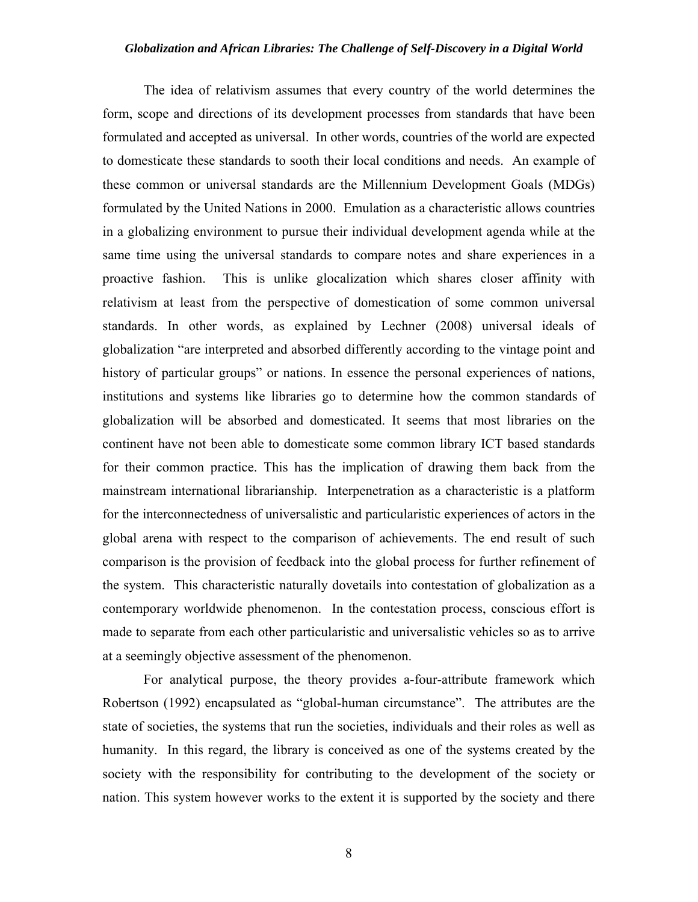The idea of relativism assumes that every country of the world determines the form, scope and directions of its development processes from standards that have been formulated and accepted as universal. In other words, countries of the world are expected to domesticate these standards to sooth their local conditions and needs. An example of these common or universal standards are the Millennium Development Goals (MDGs) formulated by the United Nations in 2000. Emulation as a characteristic allows countries in a globalizing environment to pursue their individual development agenda while at the same time using the universal standards to compare notes and share experiences in a proactive fashion. This is unlike glocalization which shares closer affinity with relativism at least from the perspective of domestication of some common universal standards. In other words, as explained by Lechner (2008) universal ideals of globalization "are interpreted and absorbed differently according to the vintage point and history of particular groups" or nations. In essence the personal experiences of nations, institutions and systems like libraries go to determine how the common standards of globalization will be absorbed and domesticated. It seems that most libraries on the continent have not been able to domesticate some common library ICT based standards for their common practice. This has the implication of drawing them back from the mainstream international librarianship. Interpenetration as a characteristic is a platform for the interconnectedness of universalistic and particularistic experiences of actors in the global arena with respect to the comparison of achievements. The end result of such comparison is the provision of feedback into the global process for further refinement of the system. This characteristic naturally dovetails into contestation of globalization as a contemporary worldwide phenomenon. In the contestation process, conscious effort is made to separate from each other particularistic and universalistic vehicles so as to arrive at a seemingly objective assessment of the phenomenon.

 For analytical purpose, the theory provides a-four-attribute framework which Robertson (1992) encapsulated as "global-human circumstance". The attributes are the state of societies, the systems that run the societies, individuals and their roles as well as humanity. In this regard, the library is conceived as one of the systems created by the society with the responsibility for contributing to the development of the society or nation. This system however works to the extent it is supported by the society and there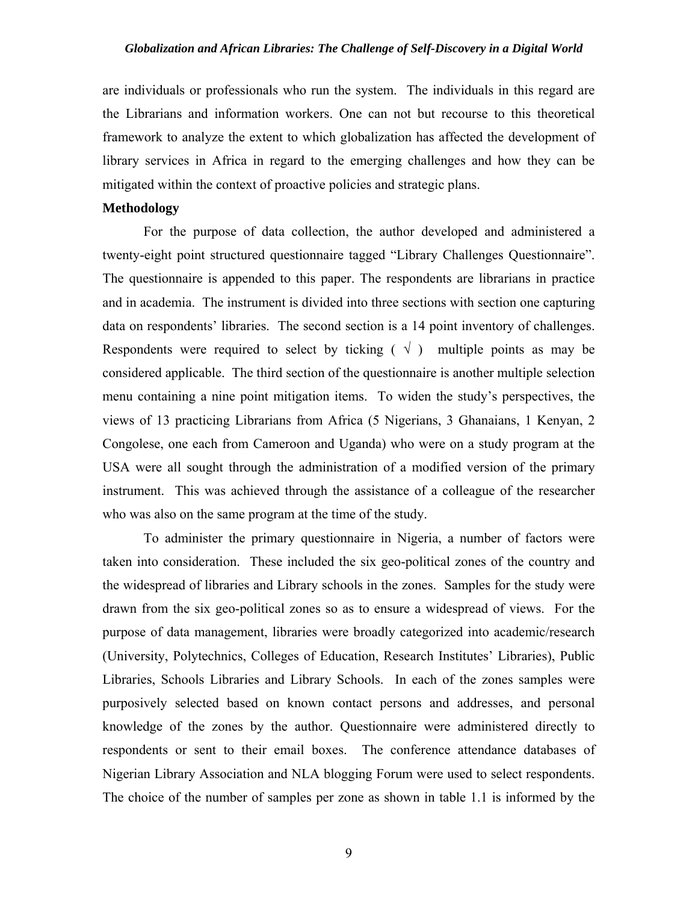are individuals or professionals who run the system. The individuals in this regard are the Librarians and information workers. One can not but recourse to this theoretical framework to analyze the extent to which globalization has affected the development of library services in Africa in regard to the emerging challenges and how they can be mitigated within the context of proactive policies and strategic plans.

# **Methodology**

 For the purpose of data collection, the author developed and administered a twenty-eight point structured questionnaire tagged "Library Challenges Questionnaire". The questionnaire is appended to this paper. The respondents are librarians in practice and in academia. The instrument is divided into three sections with section one capturing data on respondents' libraries. The second section is a 14 point inventory of challenges. Respondents were required to select by ticking  $(\sqrt{})$  multiple points as may be considered applicable. The third section of the questionnaire is another multiple selection menu containing a nine point mitigation items. To widen the study's perspectives, the views of 13 practicing Librarians from Africa (5 Nigerians, 3 Ghanaians, 1 Kenyan, 2 Congolese, one each from Cameroon and Uganda) who were on a study program at the USA were all sought through the administration of a modified version of the primary instrument. This was achieved through the assistance of a colleague of the researcher who was also on the same program at the time of the study.

 To administer the primary questionnaire in Nigeria, a number of factors were taken into consideration. These included the six geo-political zones of the country and the widespread of libraries and Library schools in the zones. Samples for the study were drawn from the six geo-political zones so as to ensure a widespread of views. For the purpose of data management, libraries were broadly categorized into academic/research (University, Polytechnics, Colleges of Education, Research Institutes' Libraries), Public Libraries, Schools Libraries and Library Schools. In each of the zones samples were purposively selected based on known contact persons and addresses, and personal knowledge of the zones by the author. Questionnaire were administered directly to respondents or sent to their email boxes. The conference attendance databases of Nigerian Library Association and NLA blogging Forum were used to select respondents. The choice of the number of samples per zone as shown in table 1.1 is informed by the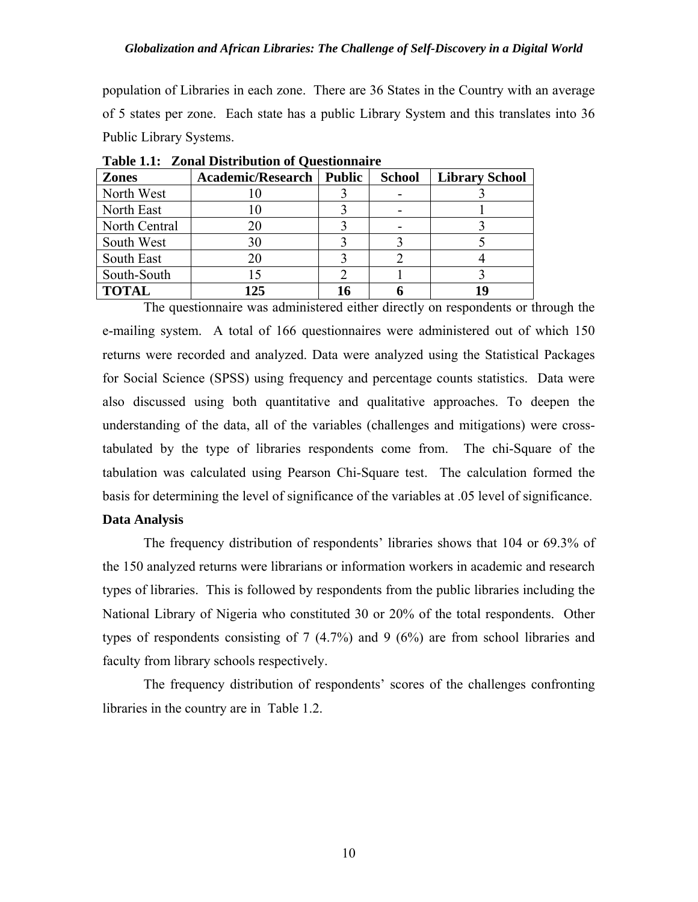population of Libraries in each zone. There are 36 States in the Country with an average of 5 states per zone. Each state has a public Library System and this translates into 36 Public Library Systems.

| <b>Zones</b>  | <b>Academic/Research</b> | <b>Public</b> | <b>School</b> | <b>Library School</b> |  |
|---------------|--------------------------|---------------|---------------|-----------------------|--|
| North West    |                          |               |               |                       |  |
| North East    |                          |               |               |                       |  |
| North Central |                          |               |               |                       |  |
| South West    | 30                       |               |               |                       |  |
| South East    |                          |               |               |                       |  |
| South-South   |                          |               |               |                       |  |
| <b>TOTAL</b>  | 125                      |               |               | 10                    |  |

**Table 1.1: Zonal Distribution of Questionnaire** 

 The questionnaire was administered either directly on respondents or through the e-mailing system. A total of 166 questionnaires were administered out of which 150 returns were recorded and analyzed. Data were analyzed using the Statistical Packages for Social Science (SPSS) using frequency and percentage counts statistics. Data were also discussed using both quantitative and qualitative approaches. To deepen the understanding of the data, all of the variables (challenges and mitigations) were crosstabulated by the type of libraries respondents come from. The chi-Square of the tabulation was calculated using Pearson Chi-Square test. The calculation formed the basis for determining the level of significance of the variables at .05 level of significance.

## **Data Analysis**

 The frequency distribution of respondents' libraries shows that 104 or 69.3% of the 150 analyzed returns were librarians or information workers in academic and research types of libraries. This is followed by respondents from the public libraries including the National Library of Nigeria who constituted 30 or 20% of the total respondents. Other types of respondents consisting of 7 (4.7%) and 9 (6%) are from school libraries and faculty from library schools respectively.

 The frequency distribution of respondents' scores of the challenges confronting libraries in the country are in Table 1.2.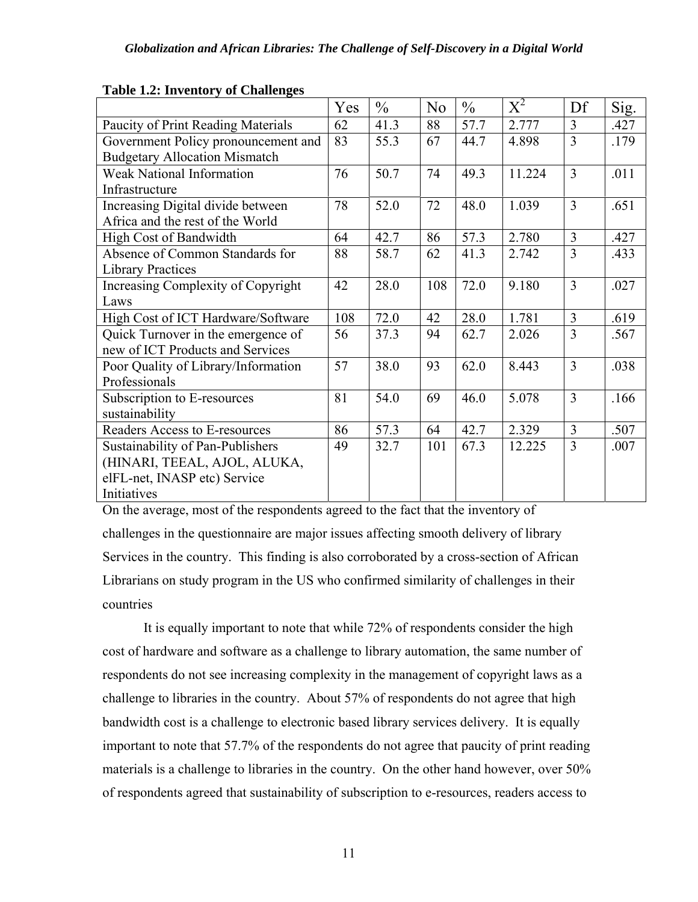|                                      | Yes | $\frac{0}{0}$ | N <sub>0</sub> | $\frac{0}{0}$ | $X^2$  | Df             | Sig. |
|--------------------------------------|-----|---------------|----------------|---------------|--------|----------------|------|
| Paucity of Print Reading Materials   |     | 41.3          | 88             | 57.7          | 2.777  | 3              | .427 |
| Government Policy pronouncement and  |     | 55.3          | 67             | 44.7          | 4.898  | $\overline{3}$ | .179 |
| <b>Budgetary Allocation Mismatch</b> |     |               |                |               |        |                |      |
| <b>Weak National Information</b>     |     | 50.7          | 74             | 49.3          | 11.224 | $\overline{3}$ | .011 |
| Infrastructure                       |     |               |                |               |        |                |      |
| Increasing Digital divide between    |     | 52.0          | 72             | 48.0          | 1.039  | 3              | .651 |
| Africa and the rest of the World     |     |               |                |               |        |                |      |
| High Cost of Bandwidth               |     | 42.7          | 86             | 57.3          | 2.780  | $\overline{3}$ | .427 |
| Absence of Common Standards for      |     | 58.7          | 62             | 41.3          | 2.742  | $\overline{3}$ | .433 |
| <b>Library Practices</b>             |     |               |                |               |        |                |      |
| Increasing Complexity of Copyright   | 42  | 28.0          | 108            | 72.0          | 9.180  | 3              | .027 |
| Laws                                 |     |               |                |               |        |                |      |
| High Cost of ICT Hardware/Software   | 108 | 72.0          | 42             | 28.0          | 1.781  | $\overline{3}$ | .619 |
| Quick Turnover in the emergence of   |     | 37.3          | 94             | 62.7          | 2.026  | $\overline{3}$ | .567 |
| new of ICT Products and Services     |     |               |                |               |        |                |      |
| Poor Quality of Library/Information  | 57  | 38.0          | 93             | 62.0          | 8.443  | $\overline{3}$ | .038 |
| Professionals                        |     |               |                |               |        |                |      |
| Subscription to E-resources          | 81  | 54.0          | 69             | 46.0          | 5.078  | $\overline{3}$ | .166 |
| sustainability                       |     |               |                |               |        |                |      |
| Readers Access to E-resources        | 86  | 57.3          | 64             | 42.7          | 2.329  | $\overline{3}$ | .507 |
| Sustainability of Pan-Publishers     |     | 32.7          | 101            | 67.3          | 12.225 | $\overline{3}$ | .007 |
| (HINARI, TEEAL, AJOL, ALUKA,         |     |               |                |               |        |                |      |
| elFL-net, INASP etc) Service         |     |               |                |               |        |                |      |
| Initiatives                          |     |               |                |               |        |                |      |

# **Table 1.2: Inventory of Challenges**

On the average, most of the respondents agreed to the fact that the inventory of challenges in the questionnaire are major issues affecting smooth delivery of library Services in the country. This finding is also corroborated by a cross-section of African Librarians on study program in the US who confirmed similarity of challenges in their countries

 It is equally important to note that while 72% of respondents consider the high cost of hardware and software as a challenge to library automation, the same number of respondents do not see increasing complexity in the management of copyright laws as a challenge to libraries in the country. About 57% of respondents do not agree that high bandwidth cost is a challenge to electronic based library services delivery. It is equally important to note that 57.7% of the respondents do not agree that paucity of print reading materials is a challenge to libraries in the country. On the other hand however, over 50% of respondents agreed that sustainability of subscription to e-resources, readers access to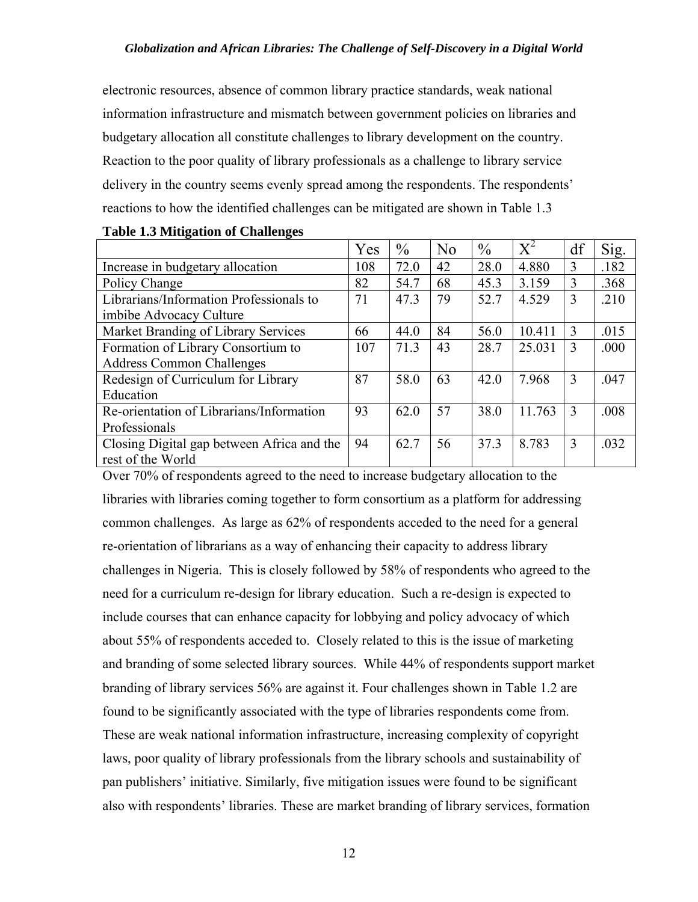electronic resources, absence of common library practice standards, weak national information infrastructure and mismatch between government policies on libraries and budgetary allocation all constitute challenges to library development on the country. Reaction to the poor quality of library professionals as a challenge to library service delivery in the country seems evenly spread among the respondents. The respondents' reactions to how the identified challenges can be mitigated are shown in Table 1.3

|                                            | Yes | $\frac{0}{0}$ | N <sub>0</sub> | $\%$ | $X^2$  | df | Sig. |
|--------------------------------------------|-----|---------------|----------------|------|--------|----|------|
| Increase in budgetary allocation           | 108 | 72.0          | 42             | 28.0 | 4.880  | 3  | .182 |
| Policy Change                              | 82  | 54.7          | 68             | 45.3 | 3.159  | 3  | .368 |
| Librarians/Information Professionals to    | 71  | 47.3          | 79             | 52.7 | 4.529  | 3  | .210 |
| imbibe Advocacy Culture                    |     |               |                |      |        |    |      |
| Market Branding of Library Services        | 66  | 44.0          | 84             | 56.0 | 10.411 | 3  | .015 |
| Formation of Library Consortium to         | 107 | 71.3          | 43             | 28.7 | 25.031 | 3  | .000 |
| <b>Address Common Challenges</b>           |     |               |                |      |        |    |      |
| Redesign of Curriculum for Library         | 87  | 58.0          | 63             | 42.0 | 7.968  | 3  | .047 |
| Education                                  |     |               |                |      |        |    |      |
| Re-orientation of Librarians/Information   | 93  | 62.0          | 57             | 38.0 | 11.763 | 3  | .008 |
| Professionals                              |     |               |                |      |        |    |      |
| Closing Digital gap between Africa and the |     | 62.7          | 56             | 37.3 | 8.783  | 3  | .032 |
| rest of the World                          |     |               |                |      |        |    |      |

### **Table 1.3 Mitigation of Challenges**

Over 70% of respondents agreed to the need to increase budgetary allocation to the libraries with libraries coming together to form consortium as a platform for addressing common challenges. As large as 62% of respondents acceded to the need for a general re-orientation of librarians as a way of enhancing their capacity to address library challenges in Nigeria. This is closely followed by 58% of respondents who agreed to the need for a curriculum re-design for library education. Such a re-design is expected to include courses that can enhance capacity for lobbying and policy advocacy of which about 55% of respondents acceded to. Closely related to this is the issue of marketing and branding of some selected library sources. While 44% of respondents support market branding of library services 56% are against it. Four challenges shown in Table 1.2 are found to be significantly associated with the type of libraries respondents come from. These are weak national information infrastructure, increasing complexity of copyright laws, poor quality of library professionals from the library schools and sustainability of pan publishers' initiative. Similarly, five mitigation issues were found to be significant also with respondents' libraries. These are market branding of library services, formation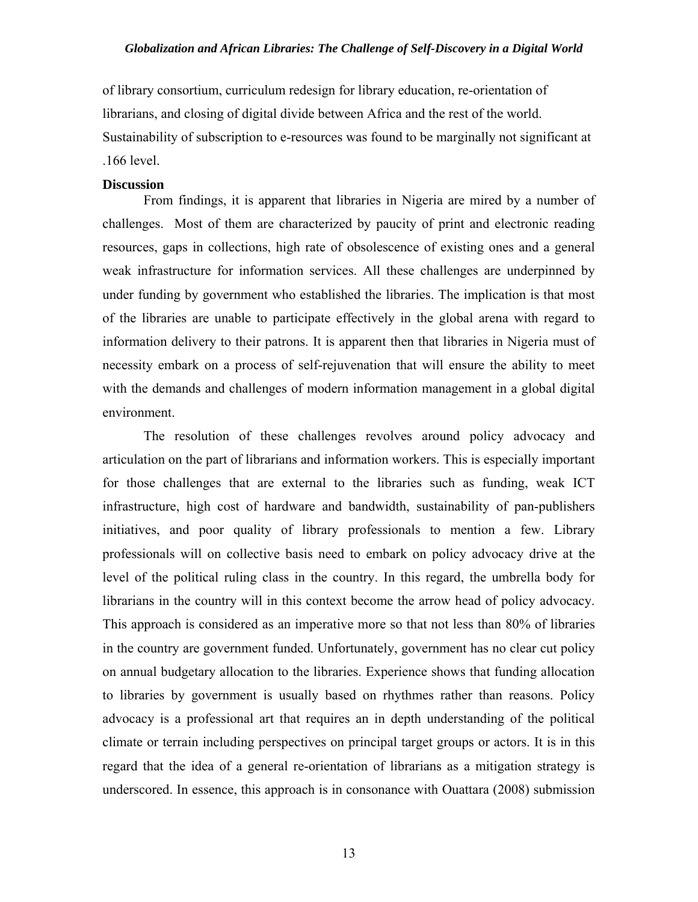of library consortium, curriculum redesign for library education, re-orientation of librarians, and closing of digital divide between Africa and the rest of the world. Sustainability of subscription to e-resources was found to be marginally not significant at .166 level.

### **Discussion**

 From findings, it is apparent that libraries in Nigeria are mired by a number of challenges. Most of them are characterized by paucity of print and electronic reading resources, gaps in collections, high rate of obsolescence of existing ones and a general weak infrastructure for information services. All these challenges are underpinned by under funding by government who established the libraries. The implication is that most of the libraries are unable to participate effectively in the global arena with regard to information delivery to their patrons. It is apparent then that libraries in Nigeria must of necessity embark on a process of self-rejuvenation that will ensure the ability to meet with the demands and challenges of modern information management in a global digital environment.

 The resolution of these challenges revolves around policy advocacy and articulation on the part of librarians and information workers. This is especially important for those challenges that are external to the libraries such as funding, weak ICT infrastructure, high cost of hardware and bandwidth, sustainability of pan-publishers initiatives, and poor quality of library professionals to mention a few. Library professionals will on collective basis need to embark on policy advocacy drive at the level of the political ruling class in the country. In this regard, the umbrella body for librarians in the country will in this context become the arrow head of policy advocacy. This approach is considered as an imperative more so that not less than 80% of libraries in the country are government funded. Unfortunately, government has no clear cut policy on annual budgetary allocation to the libraries. Experience shows that funding allocation to libraries by government is usually based on rhythmes rather than reasons. Policy advocacy is a professional art that requires an in depth understanding of the political climate or terrain including perspectives on principal target groups or actors. It is in this regard that the idea of a general re-orientation of librarians as a mitigation strategy is underscored. In essence, this approach is in consonance with Ouattara (2008) submission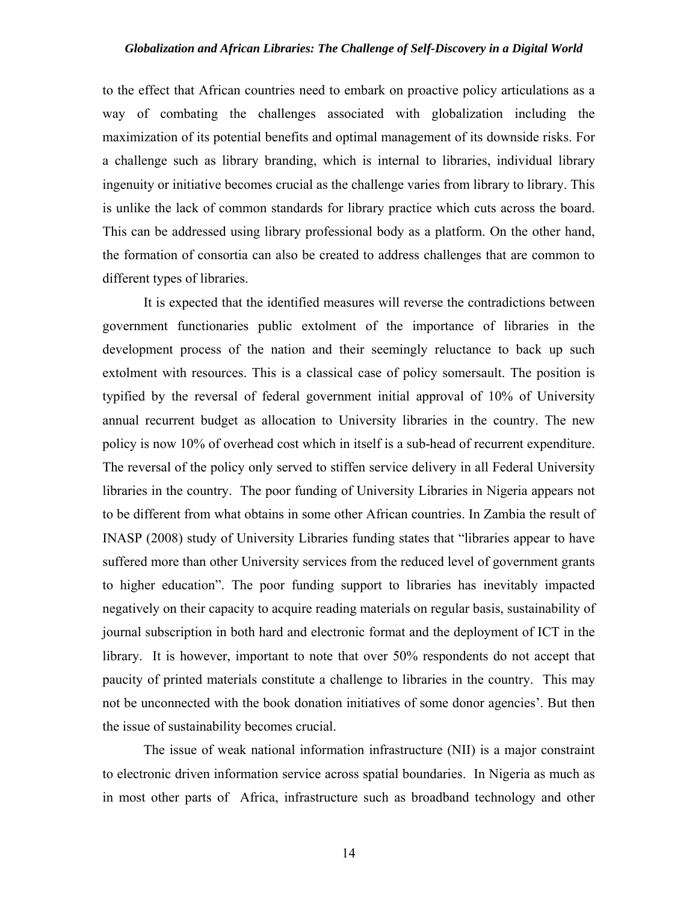to the effect that African countries need to embark on proactive policy articulations as a way of combating the challenges associated with globalization including the maximization of its potential benefits and optimal management of its downside risks. For a challenge such as library branding, which is internal to libraries, individual library ingenuity or initiative becomes crucial as the challenge varies from library to library. This is unlike the lack of common standards for library practice which cuts across the board. This can be addressed using library professional body as a platform. On the other hand, the formation of consortia can also be created to address challenges that are common to different types of libraries.

It is expected that the identified measures will reverse the contradictions between government functionaries public extolment of the importance of libraries in the development process of the nation and their seemingly reluctance to back up such extolment with resources. This is a classical case of policy somersault. The position is typified by the reversal of federal government initial approval of 10% of University annual recurrent budget as allocation to University libraries in the country. The new policy is now 10% of overhead cost which in itself is a sub-head of recurrent expenditure. The reversal of the policy only served to stiffen service delivery in all Federal University libraries in the country. The poor funding of University Libraries in Nigeria appears not to be different from what obtains in some other African countries. In Zambia the result of INASP (2008) study of University Libraries funding states that "libraries appear to have suffered more than other University services from the reduced level of government grants to higher education". The poor funding support to libraries has inevitably impacted negatively on their capacity to acquire reading materials on regular basis, sustainability of journal subscription in both hard and electronic format and the deployment of ICT in the library. It is however, important to note that over 50% respondents do not accept that paucity of printed materials constitute a challenge to libraries in the country. This may not be unconnected with the book donation initiatives of some donor agencies'. But then the issue of sustainability becomes crucial.

 The issue of weak national information infrastructure (NII) is a major constraint to electronic driven information service across spatial boundaries. In Nigeria as much as in most other parts of Africa, infrastructure such as broadband technology and other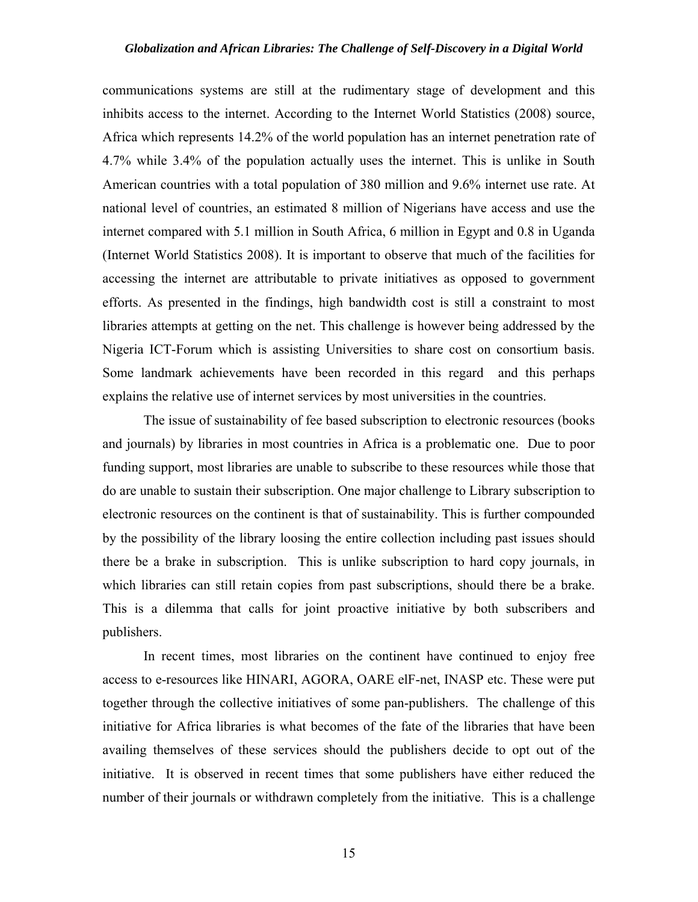communications systems are still at the rudimentary stage of development and this inhibits access to the internet. According to the Internet World Statistics (2008) source, Africa which represents 14.2% of the world population has an internet penetration rate of 4.7% while 3.4% of the population actually uses the internet. This is unlike in South American countries with a total population of 380 million and 9.6% internet use rate. At national level of countries, an estimated 8 million of Nigerians have access and use the internet compared with 5.1 million in South Africa, 6 million in Egypt and 0.8 in Uganda (Internet World Statistics 2008). It is important to observe that much of the facilities for accessing the internet are attributable to private initiatives as opposed to government efforts. As presented in the findings, high bandwidth cost is still a constraint to most libraries attempts at getting on the net. This challenge is however being addressed by the Nigeria ICT-Forum which is assisting Universities to share cost on consortium basis. Some landmark achievements have been recorded in this regard and this perhaps explains the relative use of internet services by most universities in the countries.

 The issue of sustainability of fee based subscription to electronic resources (books and journals) by libraries in most countries in Africa is a problematic one. Due to poor funding support, most libraries are unable to subscribe to these resources while those that do are unable to sustain their subscription. One major challenge to Library subscription to electronic resources on the continent is that of sustainability. This is further compounded by the possibility of the library loosing the entire collection including past issues should there be a brake in subscription. This is unlike subscription to hard copy journals, in which libraries can still retain copies from past subscriptions, should there be a brake. This is a dilemma that calls for joint proactive initiative by both subscribers and publishers.

 In recent times, most libraries on the continent have continued to enjoy free access to e-resources like HINARI, AGORA, OARE elF-net, INASP etc. These were put together through the collective initiatives of some pan-publishers. The challenge of this initiative for Africa libraries is what becomes of the fate of the libraries that have been availing themselves of these services should the publishers decide to opt out of the initiative. It is observed in recent times that some publishers have either reduced the number of their journals or withdrawn completely from the initiative. This is a challenge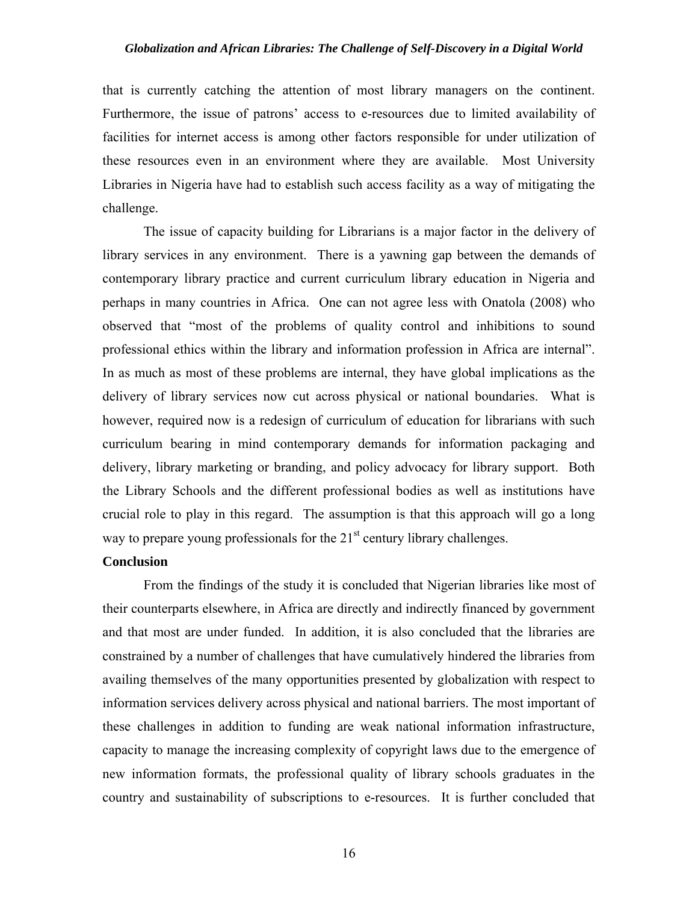that is currently catching the attention of most library managers on the continent. Furthermore, the issue of patrons' access to e-resources due to limited availability of facilities for internet access is among other factors responsible for under utilization of these resources even in an environment where they are available. Most University Libraries in Nigeria have had to establish such access facility as a way of mitigating the challenge.

 The issue of capacity building for Librarians is a major factor in the delivery of library services in any environment. There is a yawning gap between the demands of contemporary library practice and current curriculum library education in Nigeria and perhaps in many countries in Africa. One can not agree less with Onatola (2008) who observed that "most of the problems of quality control and inhibitions to sound professional ethics within the library and information profession in Africa are internal". In as much as most of these problems are internal, they have global implications as the delivery of library services now cut across physical or national boundaries. What is however, required now is a redesign of curriculum of education for librarians with such curriculum bearing in mind contemporary demands for information packaging and delivery, library marketing or branding, and policy advocacy for library support. Both the Library Schools and the different professional bodies as well as institutions have crucial role to play in this regard. The assumption is that this approach will go a long way to prepare young professionals for the  $21<sup>st</sup>$  century library challenges.

## **Conclusion**

 From the findings of the study it is concluded that Nigerian libraries like most of their counterparts elsewhere, in Africa are directly and indirectly financed by government and that most are under funded. In addition, it is also concluded that the libraries are constrained by a number of challenges that have cumulatively hindered the libraries from availing themselves of the many opportunities presented by globalization with respect to information services delivery across physical and national barriers. The most important of these challenges in addition to funding are weak national information infrastructure, capacity to manage the increasing complexity of copyright laws due to the emergence of new information formats, the professional quality of library schools graduates in the country and sustainability of subscriptions to e-resources. It is further concluded that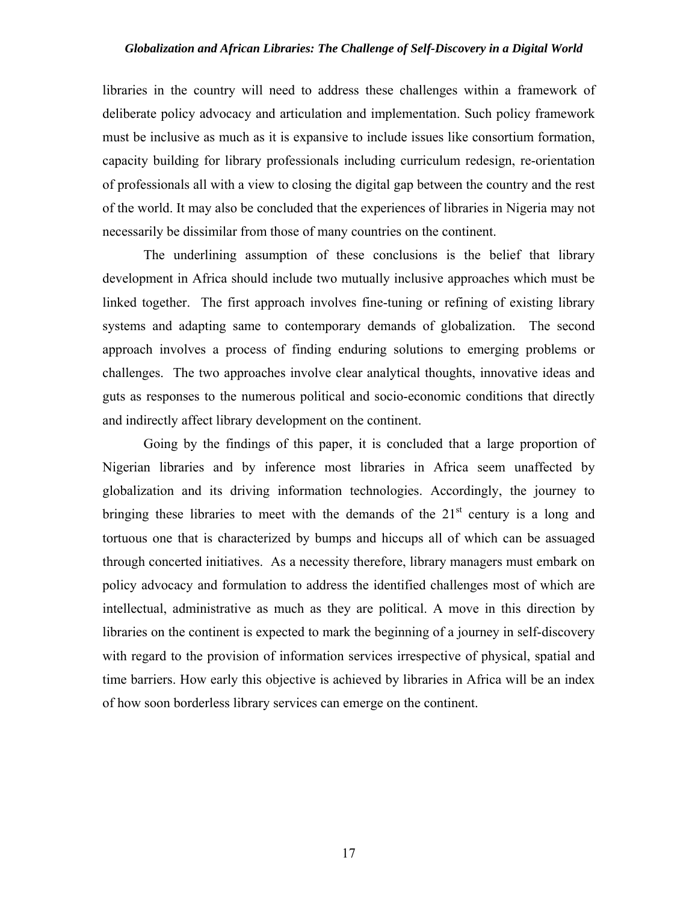libraries in the country will need to address these challenges within a framework of deliberate policy advocacy and articulation and implementation. Such policy framework must be inclusive as much as it is expansive to include issues like consortium formation, capacity building for library professionals including curriculum redesign, re-orientation of professionals all with a view to closing the digital gap between the country and the rest of the world. It may also be concluded that the experiences of libraries in Nigeria may not necessarily be dissimilar from those of many countries on the continent.

 The underlining assumption of these conclusions is the belief that library development in Africa should include two mutually inclusive approaches which must be linked together. The first approach involves fine-tuning or refining of existing library systems and adapting same to contemporary demands of globalization. The second approach involves a process of finding enduring solutions to emerging problems or challenges. The two approaches involve clear analytical thoughts, innovative ideas and guts as responses to the numerous political and socio-economic conditions that directly and indirectly affect library development on the continent.

 Going by the findings of this paper, it is concluded that a large proportion of Nigerian libraries and by inference most libraries in Africa seem unaffected by globalization and its driving information technologies. Accordingly, the journey to bringing these libraries to meet with the demands of the  $21<sup>st</sup>$  century is a long and tortuous one that is characterized by bumps and hiccups all of which can be assuaged through concerted initiatives. As a necessity therefore, library managers must embark on policy advocacy and formulation to address the identified challenges most of which are intellectual, administrative as much as they are political. A move in this direction by libraries on the continent is expected to mark the beginning of a journey in self-discovery with regard to the provision of information services irrespective of physical, spatial and time barriers. How early this objective is achieved by libraries in Africa will be an index of how soon borderless library services can emerge on the continent.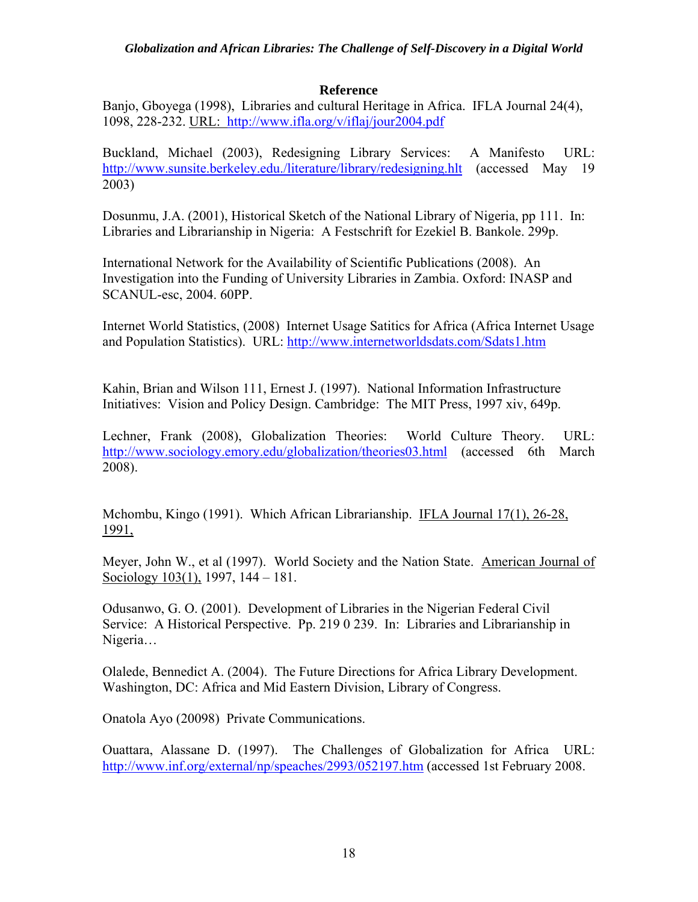# **Reference**

Banjo, Gboyega (1998), Libraries and cultural Heritage in Africa. IFLA Journal 24(4), 1098, 228-232. URL: http://www.ifla.org/v/iflaj/jour2004.pdf

Buckland, Michael (2003), Redesigning Library Services: A Manifesto URL: http://www.sunsite.berkeley.edu./literature/library/redesigning.hlt (accessed May 19 2003)

Dosunmu, J.A. (2001), Historical Sketch of the National Library of Nigeria, pp 111. In: Libraries and Librarianship in Nigeria: A Festschrift for Ezekiel B. Bankole. 299p.

International Network for the Availability of Scientific Publications (2008). An Investigation into the Funding of University Libraries in Zambia. Oxford: INASP and SCANUL-esc, 2004. 60PP.

Internet World Statistics, (2008) Internet Usage Satitics for Africa (Africa Internet Usage and Population Statistics). URL: http://www.internetworldsdats.com/Sdats1.htm

Kahin, Brian and Wilson 111, Ernest J. (1997). National Information Infrastructure Initiatives: Vision and Policy Design. Cambridge: The MIT Press, 1997 xiv, 649p.

Lechner, Frank (2008), Globalization Theories: World Culture Theory. URL: http://www.sociology.emory.edu/globalization/theories03.html (accessed 6th March 2008).

Mchombu, Kingo (1991). Which African Librarianship. IFLA Journal 17(1), 26-28, 1991,

Meyer, John W., et al (1997). World Society and the Nation State. American Journal of Sociology 103(1), 1997, 144 – 181.

Odusanwo, G. O. (2001). Development of Libraries in the Nigerian Federal Civil Service: A Historical Perspective. Pp. 219 0 239. In: Libraries and Librarianship in Nigeria…

Olalede, Bennedict A. (2004). The Future Directions for Africa Library Development. Washington, DC: Africa and Mid Eastern Division, Library of Congress.

Onatola Ayo (20098) Private Communications.

Ouattara, Alassane D. (1997). The Challenges of Globalization for Africa URL: http://www.inf.org/external/np/speaches/2993/052197.htm (accessed 1st February 2008.